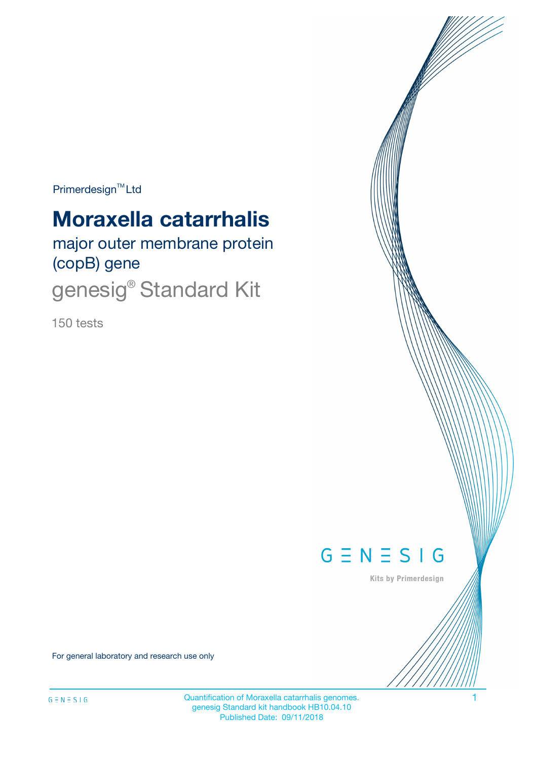$Primerdesign^{\text{TM}}Ltd$ 

# **Moraxella catarrhalis**

major outer membrane protein (copB) gene

genesig® Standard Kit

150 tests



Kits by Primerdesign

For general laboratory and research use only

Quantification of Moraxella catarrhalis genomes. 1 genesig Standard kit handbook HB10.04.10 Published Date: 09/11/2018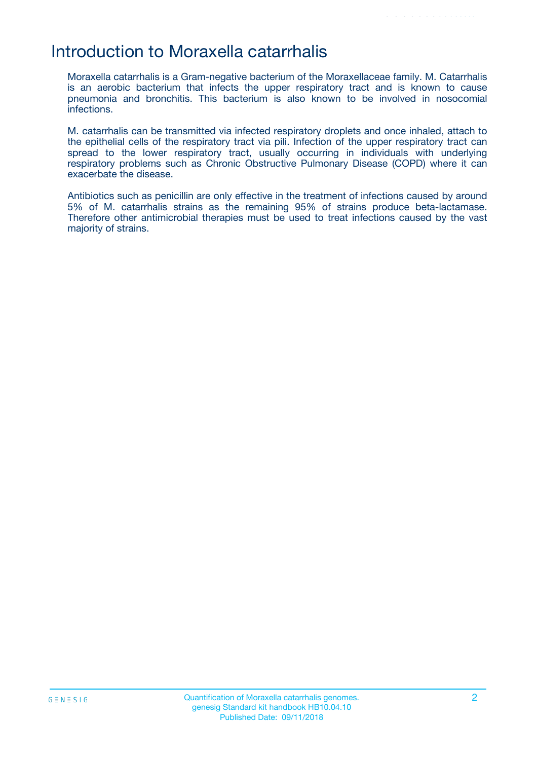### Introduction to Moraxella catarrhalis

Moraxella catarrhalis is a Gram-negative bacterium of the Moraxellaceae family. M. Catarrhalis is an aerobic bacterium that infects the upper respiratory tract and is known to cause pneumonia and bronchitis. This bacterium is also known to be involved in nosocomial infections.

M. catarrhalis can be transmitted via infected respiratory droplets and once inhaled, attach to the epithelial cells of the respiratory tract via pili. Infection of the upper respiratory tract can spread to the lower respiratory tract, usually occurring in individuals with underlying respiratory problems such as Chronic Obstructive Pulmonary Disease (COPD) where it can exacerbate the disease.

Antibiotics such as penicillin are only effective in the treatment of infections caused by around 5% of M. catarrhalis strains as the remaining 95% of strains produce beta-lactamase. Therefore other antimicrobial therapies must be used to treat infections caused by the vast majority of strains.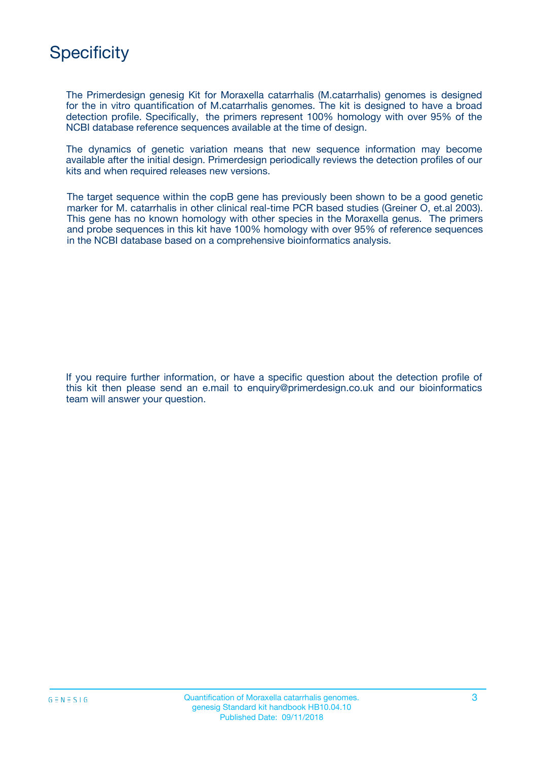# **Specificity**

The Primerdesign genesig Kit for Moraxella catarrhalis (M.catarrhalis) genomes is designed for the in vitro quantification of M.catarrhalis genomes. The kit is designed to have a broad detection profile. Specifically, the primers represent 100% homology with over 95% of the NCBI database reference sequences available at the time of design.

The dynamics of genetic variation means that new sequence information may become available after the initial design. Primerdesign periodically reviews the detection profiles of our kits and when required releases new versions.

The target sequence within the copB gene has previously been shown to be a good genetic marker for M. catarrhalis in other clinical real-time PCR based studies (Greiner O, et.al 2003). This gene has no known homology with other species in the Moraxella genus. The primers and probe sequences in this kit have 100% homology with over 95% of reference sequences in the NCBI database based on a comprehensive bioinformatics analysis.

If you require further information, or have a specific question about the detection profile of this kit then please send an e.mail to enquiry@primerdesign.co.uk and our bioinformatics team will answer your question.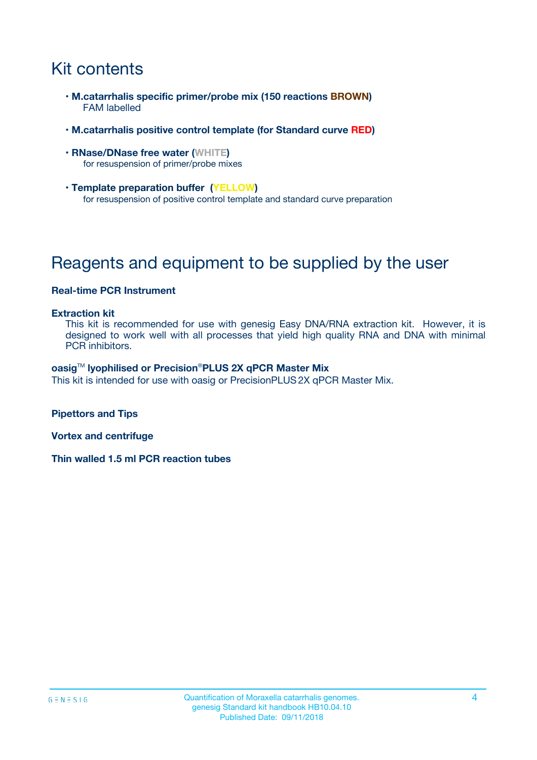# Kit contents

- **M.catarrhalis specific primer/probe mix (150 reactions BROWN)** FAM labelled
- **M.catarrhalis positive control template (for Standard curve RED)**
- **RNase/DNase free water (WHITE)** for resuspension of primer/probe mixes
- **Template preparation buffer (YELLOW)** for resuspension of positive control template and standard curve preparation

# Reagents and equipment to be supplied by the user

#### **Real-time PCR Instrument**

#### **Extraction kit**

This kit is recommended for use with genesig Easy DNA/RNA extraction kit. However, it is designed to work well with all processes that yield high quality RNA and DNA with minimal PCR inhibitors.

#### **oasig**TM **lyophilised or Precision**®**PLUS 2X qPCR Master Mix**

This kit is intended for use with oasig or PrecisionPLUS2X qPCR Master Mix.

**Pipettors and Tips**

**Vortex and centrifuge**

**Thin walled 1.5 ml PCR reaction tubes**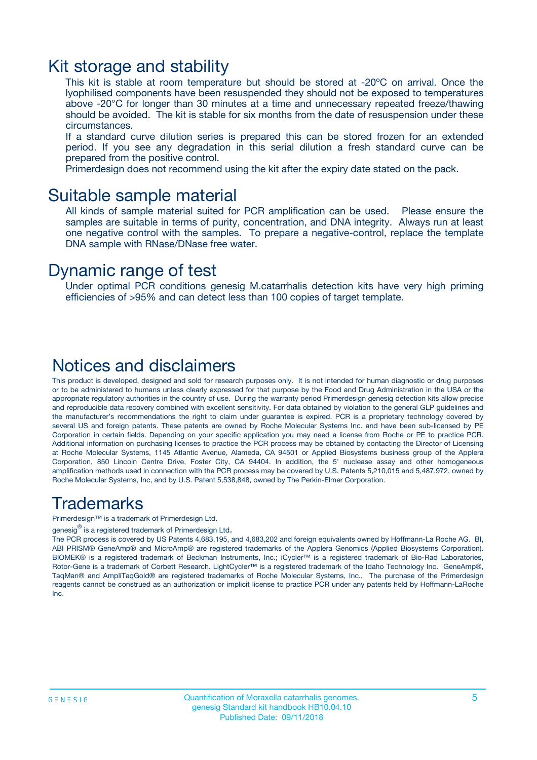### Kit storage and stability

This kit is stable at room temperature but should be stored at -20ºC on arrival. Once the lyophilised components have been resuspended they should not be exposed to temperatures above -20°C for longer than 30 minutes at a time and unnecessary repeated freeze/thawing should be avoided. The kit is stable for six months from the date of resuspension under these circumstances.

If a standard curve dilution series is prepared this can be stored frozen for an extended period. If you see any degradation in this serial dilution a fresh standard curve can be prepared from the positive control.

Primerdesign does not recommend using the kit after the expiry date stated on the pack.

### Suitable sample material

All kinds of sample material suited for PCR amplification can be used. Please ensure the samples are suitable in terms of purity, concentration, and DNA integrity. Always run at least one negative control with the samples. To prepare a negative-control, replace the template DNA sample with RNase/DNase free water.

### Dynamic range of test

Under optimal PCR conditions genesig M.catarrhalis detection kits have very high priming efficiencies of >95% and can detect less than 100 copies of target template.

### Notices and disclaimers

This product is developed, designed and sold for research purposes only. It is not intended for human diagnostic or drug purposes or to be administered to humans unless clearly expressed for that purpose by the Food and Drug Administration in the USA or the appropriate regulatory authorities in the country of use. During the warranty period Primerdesign genesig detection kits allow precise and reproducible data recovery combined with excellent sensitivity. For data obtained by violation to the general GLP guidelines and the manufacturer's recommendations the right to claim under guarantee is expired. PCR is a proprietary technology covered by several US and foreign patents. These patents are owned by Roche Molecular Systems Inc. and have been sub-licensed by PE Corporation in certain fields. Depending on your specific application you may need a license from Roche or PE to practice PCR. Additional information on purchasing licenses to practice the PCR process may be obtained by contacting the Director of Licensing at Roche Molecular Systems, 1145 Atlantic Avenue, Alameda, CA 94501 or Applied Biosystems business group of the Applera Corporation, 850 Lincoln Centre Drive, Foster City, CA 94404. In addition, the 5' nuclease assay and other homogeneous amplification methods used in connection with the PCR process may be covered by U.S. Patents 5,210,015 and 5,487,972, owned by Roche Molecular Systems, Inc, and by U.S. Patent 5,538,848, owned by The Perkin-Elmer Corporation.

### Trademarks

Primerdesign™ is a trademark of Primerdesign Ltd.

genesig $^\circledR$  is a registered trademark of Primerdesign Ltd.

The PCR process is covered by US Patents 4,683,195, and 4,683,202 and foreign equivalents owned by Hoffmann-La Roche AG. BI, ABI PRISM® GeneAmp® and MicroAmp® are registered trademarks of the Applera Genomics (Applied Biosystems Corporation). BIOMEK® is a registered trademark of Beckman Instruments, Inc.; iCycler™ is a registered trademark of Bio-Rad Laboratories, Rotor-Gene is a trademark of Corbett Research. LightCycler™ is a registered trademark of the Idaho Technology Inc. GeneAmp®, TaqMan® and AmpliTaqGold® are registered trademarks of Roche Molecular Systems, Inc., The purchase of the Primerdesign reagents cannot be construed as an authorization or implicit license to practice PCR under any patents held by Hoffmann-LaRoche Inc.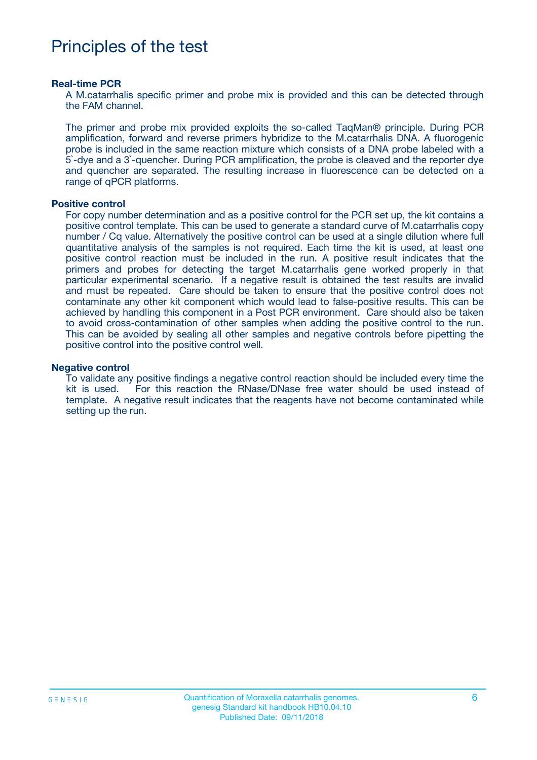## Principles of the test

#### **Real-time PCR**

A M.catarrhalis specific primer and probe mix is provided and this can be detected through the FAM channel.

The primer and probe mix provided exploits the so-called TaqMan® principle. During PCR amplification, forward and reverse primers hybridize to the M.catarrhalis DNA. A fluorogenic probe is included in the same reaction mixture which consists of a DNA probe labeled with a 5`-dye and a 3`-quencher. During PCR amplification, the probe is cleaved and the reporter dye and quencher are separated. The resulting increase in fluorescence can be detected on a range of qPCR platforms.

#### **Positive control**

For copy number determination and as a positive control for the PCR set up, the kit contains a positive control template. This can be used to generate a standard curve of M.catarrhalis copy number / Cq value. Alternatively the positive control can be used at a single dilution where full quantitative analysis of the samples is not required. Each time the kit is used, at least one positive control reaction must be included in the run. A positive result indicates that the primers and probes for detecting the target M.catarrhalis gene worked properly in that particular experimental scenario. If a negative result is obtained the test results are invalid and must be repeated. Care should be taken to ensure that the positive control does not contaminate any other kit component which would lead to false-positive results. This can be achieved by handling this component in a Post PCR environment. Care should also be taken to avoid cross-contamination of other samples when adding the positive control to the run. This can be avoided by sealing all other samples and negative controls before pipetting the positive control into the positive control well.

#### **Negative control**

To validate any positive findings a negative control reaction should be included every time the kit is used. For this reaction the RNase/DNase free water should be used instead of template. A negative result indicates that the reagents have not become contaminated while setting up the run.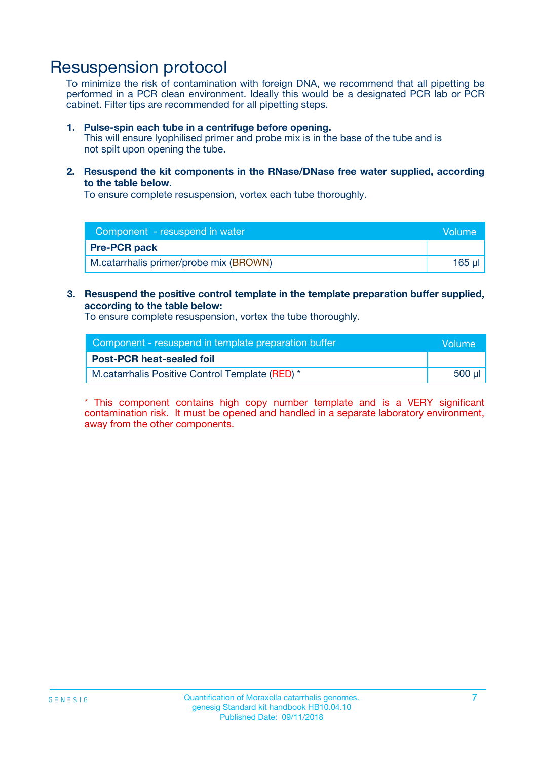### Resuspension protocol

To minimize the risk of contamination with foreign DNA, we recommend that all pipetting be performed in a PCR clean environment. Ideally this would be a designated PCR lab or PCR cabinet. Filter tips are recommended for all pipetting steps.

#### **1. Pulse-spin each tube in a centrifuge before opening.**

This will ensure lyophilised primer and probe mix is in the base of the tube and is not spilt upon opening the tube.

**2. Resuspend the kit components in the RNase/DNase free water supplied, according to the table below.**

To ensure complete resuspension, vortex each tube thoroughly.

| Component - resuspend in water         | Volume |
|----------------------------------------|--------|
| <b>Pre-PCR pack</b>                    |        |
| M.catarrhalis primer/probe mix (BROWN) | 165 ul |

#### **3. Resuspend the positive control template in the template preparation buffer supplied, according to the table below:**

To ensure complete resuspension, vortex the tube thoroughly.

| Component - resuspend in template preparation buffer | Wolume' |
|------------------------------------------------------|---------|
| <b>Post-PCR heat-sealed foil</b>                     |         |
| M.catarrhalis Positive Control Template (RED) *      | 500 µl  |

\* This component contains high copy number template and is a VERY significant contamination risk. It must be opened and handled in a separate laboratory environment, away from the other components.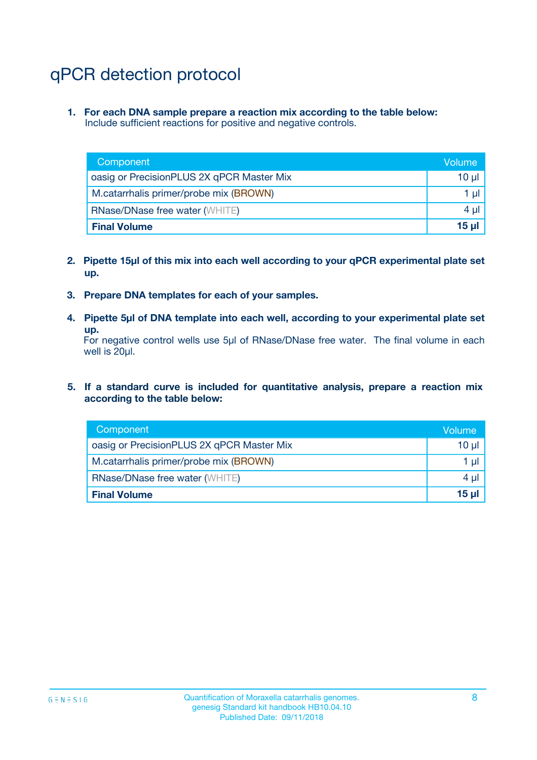# qPCR detection protocol

**1. For each DNA sample prepare a reaction mix according to the table below:** Include sufficient reactions for positive and negative controls.

| Component                                 | Volume   |
|-------------------------------------------|----------|
| oasig or PrecisionPLUS 2X qPCR Master Mix | 10 $\mu$ |
| M.catarrhalis primer/probe mix (BROWN)    | 1 $\mu$  |
| <b>RNase/DNase free water (WHITE)</b>     | $4 \mu$  |
| <b>Final Volume</b>                       | $15$ µ   |

- **2. Pipette 15µl of this mix into each well according to your qPCR experimental plate set up.**
- **3. Prepare DNA templates for each of your samples.**
- **4. Pipette 5µl of DNA template into each well, according to your experimental plate set up.**

For negative control wells use 5µl of RNase/DNase free water. The final volume in each well is 20µl.

**5. If a standard curve is included for quantitative analysis, prepare a reaction mix according to the table below:**

| Component                                 | Volume          |
|-------------------------------------------|-----------------|
| oasig or PrecisionPLUS 2X qPCR Master Mix | 10 µl           |
| M.catarrhalis primer/probe mix (BROWN)    | 1 µI            |
| <b>RNase/DNase free water (WHITE)</b>     | $4 \mu$         |
| <b>Final Volume</b>                       | 15 <sub>µ</sub> |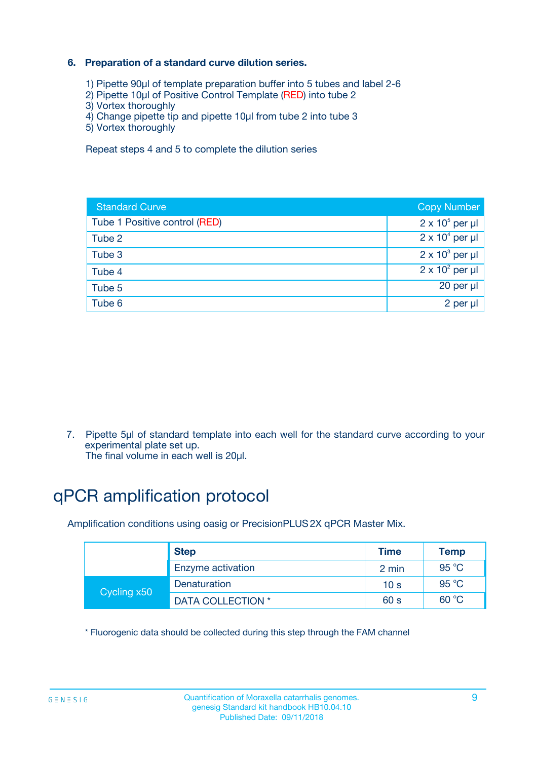### **6. Preparation of a standard curve dilution series.**

- 1) Pipette 90µl of template preparation buffer into 5 tubes and label 2-6
- 2) Pipette 10µl of Positive Control Template (RED) into tube 2
- 3) Vortex thoroughly
- 4) Change pipette tip and pipette 10µl from tube 2 into tube 3
- 5) Vortex thoroughly

Repeat steps 4 and 5 to complete the dilution series

| <b>Standard Curve</b>         | <b>Copy Number</b>     |
|-------------------------------|------------------------|
| Tube 1 Positive control (RED) | $2 \times 10^5$ per µl |
| Tube 2                        | $2 \times 10^4$ per µl |
| Tube 3                        | $2 \times 10^3$ per µl |
| Tube 4                        | $2 \times 10^2$ per µl |
| Tube 5                        | 20 per µl              |
| Tube 6                        | $2$ per $\mu$          |

7. Pipette 5µl of standard template into each well for the standard curve according to your experimental plate set up.

The final volume in each well is 20µl.

# qPCR amplification protocol

Amplification conditions using oasig or PrecisionPLUS2X qPCR Master Mix.

|             | <b>Step</b>       | <b>Time</b>     | <b>Temp</b>    |
|-------------|-------------------|-----------------|----------------|
|             | Enzyme activation | 2 min           | $95^{\circ}$ C |
| Cycling x50 | Denaturation      | 10 <sub>s</sub> | 95 $°C$        |
|             | DATA COLLECTION * | 60 s            | 60 °C          |

\* Fluorogenic data should be collected during this step through the FAM channel